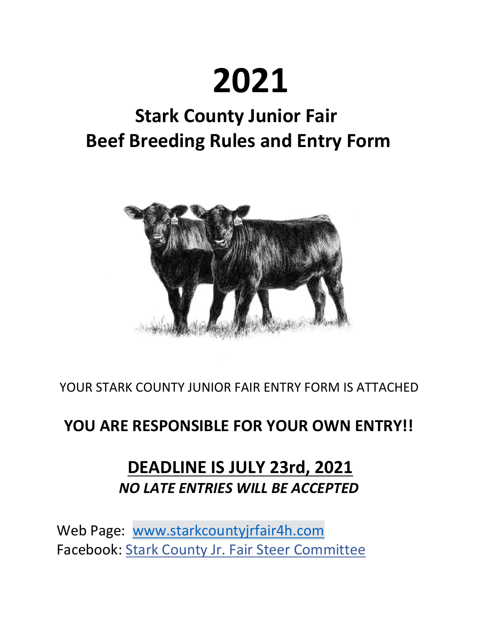# **2021**

# **Stark County Junior Fair Beef Breeding Rules and Entry Form**



YOUR STARK COUNTY JUNIOR FAIR ENTRY FORM IS ATTACHED

### **YOU ARE RESPONSIBLE FOR YOUR OWN ENTRY!!**

## **DEADLINE IS JULY 23rd, 2021** *NO LATE ENTRIES WILL BE ACCEPTED*

Web Page: [www.starkcountyjrfair4h.com](http://www.starkcountyjrfair4h.com/) Facebook: [Stark County Jr. Fair Steer Committee](https://www.facebook.com/profile.php?id=556735364519336&ref=br_rs)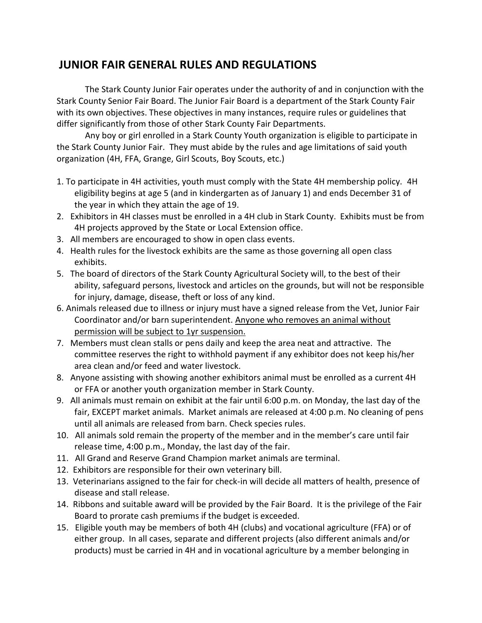#### **JUNIOR FAIR GENERAL RULES AND REGULATIONS**

The Stark County Junior Fair operates under the authority of and in conjunction with the Stark County Senior Fair Board. The Junior Fair Board is a department of the Stark County Fair with its own objectives. These objectives in many instances, require rules or guidelines that differ significantly from those of other Stark County Fair Departments.

Any boy or girl enrolled in a Stark County Youth organization is eligible to participate in the Stark County Junior Fair.  They must abide by the rules and age limitations of said youth organization (4H, FFA, Grange, Girl Scouts, Boy Scouts, etc.)

- 1. To participate in 4H activities, youth must comply with the State 4H membership policy. 4H eligibility begins at age 5 (and in kindergarten as of January 1) and ends December 31 of the year in which they attain the age of 19.
- 2.   Exhibitors in 4H classes must be enrolled in a 4H club in Stark County.  Exhibits must be from 4H projects approved by the State or Local Extension office.
- 3.   All members are encouraged to show in open class events.
- 4.   Health rules for the livestock exhibits are the same as those governing all open class exhibits.
- 5.   The board of directors of the Stark County Agricultural Society will, to the best of their ability, safeguard persons, livestock and articles on the grounds, but will not be responsible for injury, damage, disease, theft or loss of any kind.
- 6. Animals released due to illness or injury must have a signed release from the Vet, Junior Fair Coordinator and/or barn superintendent. Anyone who removes an animal without permission will be subject to 1yr suspension.
- 7.   Members must clean stalls or pens daily and keep the area neat and attractive.  The committee reserves the right to withhold payment if any exhibitor does not keep his/her area clean and/or feed and water livestock.
- 8.   Anyone assisting with showing another exhibitors animal must be enrolled as a current 4H or FFA or another youth organization member in Stark County.
- 9.   All animals must remain on exhibit at the fair until 6:00 p.m. on Monday, the last day of the fair, EXCEPT market animals.  Market animals are released at 4:00 p.m. No cleaning of pens until all animals are released from barn. Check species rules.
- 10.   All animals sold remain the property of the member and in the member's care until fair release time, 4:00 p.m., Monday, the last day of the fair.
- 11.   All Grand and Reserve Grand Champion market animals are terminal.
- 12.  Exhibitors are responsible for their own veterinary bill.
- 13.  Veterinarians assigned to the fair for check-in will decide all matters of health, presence of disease and stall release.
- 14.  Ribbons and suitable award will be provided by the Fair Board.  It is the privilege of the Fair Board to prorate cash premiums if the budget is exceeded.
- 15.   Eligible youth may be members of both 4H (clubs) and vocational agriculture (FFA) or of either group.  In all cases, separate and different projects (also different animals and/or products) must be carried in 4H and in vocational agriculture by a member belonging in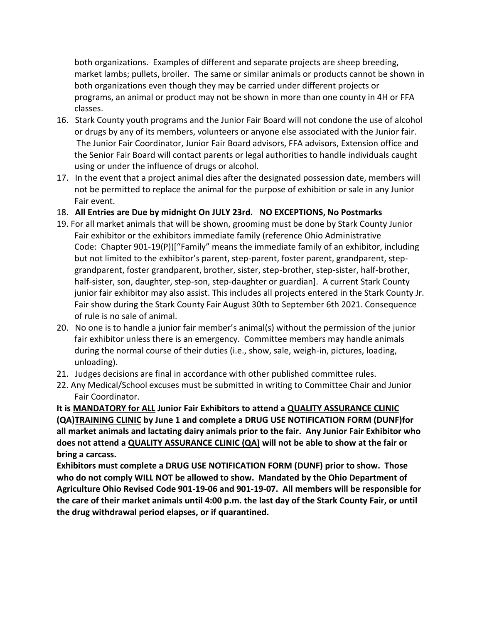both organizations.  Examples of different and separate projects are sheep breeding, market lambs; pullets, broiler.  The same or similar animals or products cannot be shown in both organizations even though they may be carried under different projects or programs, an animal or product may not be shown in more than one county in 4H or FFA classes.

- 16.   Stark County youth programs and the Junior Fair Board will not condone the use of alcohol or drugs by any of its members, volunteers or anyone else associated with the Junior fair.  The Junior Fair Coordinator, Junior Fair Board advisors, FFA advisors, Extension office and the Senior Fair Board will contact parents or legal authorities to handle individuals caught using or under the influence of drugs or alcohol.
- 17.   In the event that a project animal dies after the designated possession date, members will not be permitted to replace the animal for the purpose of exhibition or sale in any Junior Fair event.
- 18.   **All Entries are Due by midnight On JULY 23rd. NO EXCEPTIONS, No Postmarks**
- 19. For all market animals that will be shown, grooming must be done by Stark County Junior Fair exhibitor or the exhibitors immediate family (reference Ohio Administrative Code: Chapter 901-19(P))["Family" means the immediate family of an exhibitor, including but not limited to the exhibitor's parent, step-parent, foster parent, grandparent, stepgrandparent, foster grandparent, brother, sister, step-brother, step-sister, half-brother, half-sister, son, daughter, step-son, step-daughter or guardian].  A current Stark County junior fair exhibitor may also assist. This includes all projects entered in the Stark County Jr. Fair show during the Stark County Fair August 30th to September 6th 2021. Consequence of rule is no sale of animal.
- 20.   No one is to handle a junior fair member's animal(s) without the permission of the junior fair exhibitor unless there is an emergency.  Committee members may handle animals during the normal course of their duties (i.e., show, sale, weigh-in, pictures, loading, unloading).
- 21. Judges decisions are final in accordance with other published committee rules.
- 22. Any Medical/School excuses must be submitted in writing to Committee Chair and Junior Fair Coordinator.

**It is MANDATORY for ALL Junior Fair Exhibitors to attend a QUALITY ASSURANCE CLINIC (QA)TRAINING CLINIC by June 1 and complete a DRUG USE NOTIFICATION FORM (DUNF)for all market animals and lactating dairy animals prior to the fair.  Any Junior Fair Exhibitor who does not attend a QUALITY ASSURANCE CLINIC (QA) will not be able to show at the fair or bring a carcass.**

**Exhibitors must complete a DRUG USE NOTIFICATION FORM (DUNF) prior to show.  Those who do not comply WILL NOT be allowed to show.  Mandated by the Ohio Department of Agriculture Ohio Revised Code 901-19-06 and 901-19-07. All members will be responsible for the care of their market animals until 4:00 p.m. the last day of the Stark County Fair, or until the drug withdrawal period elapses, or if quarantined.**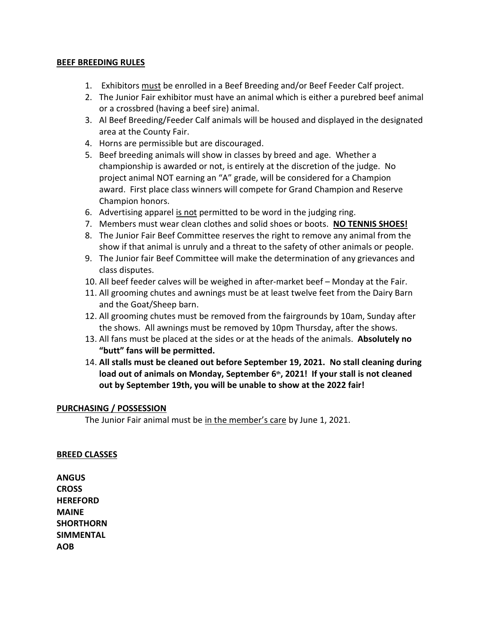#### **BEEF BREEDING RULES**

- 1. Exhibitors must be enrolled in a Beef Breeding and/or Beef Feeder Calf project.
- 2. The Junior Fair exhibitor must have an animal which is either a purebred beef animal or a crossbred (having a beef sire) animal.
- 3. Al Beef Breeding/Feeder Calf animals will be housed and displayed in the designated area at the County Fair.
- 4. Horns are permissible but are discouraged.
- 5. Beef breeding animals will show in classes by breed and age. Whether a championship is awarded or not, is entirely at the discretion of the judge. No project animal NOT earning an "A" grade, will be considered for a Champion award. First place class winners will compete for Grand Champion and Reserve Champion honors.
- 6. Advertising apparel is not permitted to be word in the judging ring.
- 7. Members must wear clean clothes and solid shoes or boots. **NO TENNIS SHOES!**
- 8. The Junior Fair Beef Committee reserves the right to remove any animal from the show if that animal is unruly and a threat to the safety of other animals or people.
- 9. The Junior fair Beef Committee will make the determination of any grievances and class disputes.
- 10. All beef feeder calves will be weighed in after-market beef Monday at the Fair.
- 11. All grooming chutes and awnings must be at least twelve feet from the Dairy Barn and the Goat/Sheep barn.
- 12. All grooming chutes must be removed from the fairgrounds by 10am, Sunday after the shows. All awnings must be removed by 10pm Thursday, after the shows.
- 13. All fans must be placed at the sides or at the heads of the animals. **Absolutely no "butt" fans will be permitted.**
- 14. **All stalls must be cleaned out before September 19, 2021. No stall cleaning during load out of animals on Monday, September 6th, 2021! If your stall is not cleaned out by September 19th, you will be unable to show at the 2022 fair!**

#### **PURCHASING / POSSESSION**

The Junior Fair animal must be in the member's care by June 1, 2021.

#### **BREED CLASSES**

**ANGUS CROSS HEREFORD MAINE SHORTHORN SIMMENTAL AOB**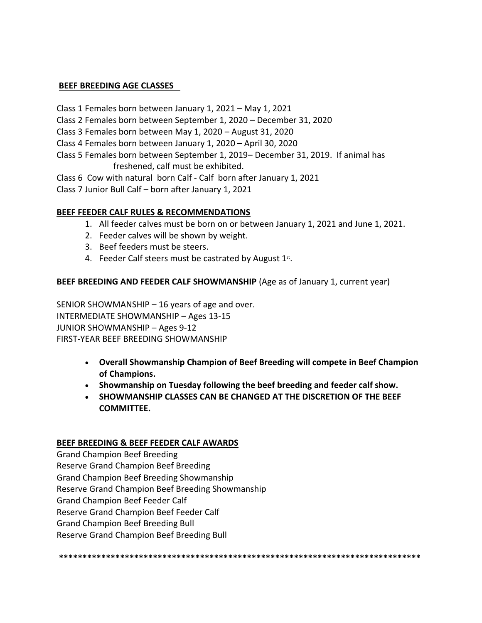#### **BEEF BREEDING AGE CLASSES**

Class 1 Females born between January 1, 2021 – May 1, 2021

Class 2 Females born between September 1, 2020 – December 31, 2020

Class 3 Females born between May 1, 2020 – August 31, 2020

Class 4 Females born between January 1, 2020 – April 30, 2020

Class 5 Females born between September 1, 2019– December 31, 2019. If animal has freshened, calf must be exhibited.

Class 6 Cow with natural born Calf - Calf born after January 1, 2021

Class 7 Junior Bull Calf – born after January 1, 2021

#### **BEEF FEEDER CALF RULES & RECOMMENDATIONS**

- 1. All feeder calves must be born on or between January 1, 2021 and June 1, 2021.
- 2. Feeder calves will be shown by weight.
- 3. Beef feeders must be steers.
- 4. Feeder Calf steers must be castrated by August 1st.

#### **BEEF BREEDING AND FEEDER CALF SHOWMANSHIP** (Age as of January 1, current year)

SENIOR SHOWMANSHIP – 16 years of age and over. INTERMEDIATE SHOWMANSHIP – Ages 13-15 JUNIOR SHOWMANSHIP – Ages 9-12 FIRST-YEAR BEEF BREEDING SHOWMANSHIP

- **Overall Showmanship Champion of Beef Breeding will compete in Beef Champion of Champions.**
- **Showmanship on Tuesday following the beef breeding and feeder calf show.**
- **SHOWMANSHIP CLASSES CAN BE CHANGED AT THE DISCRETION OF THE BEEF COMMITTEE.**

#### **BEEF BREEDING & BEEF FEEDER CALF AWARDS**

Grand Champion Beef Breeding Reserve Grand Champion Beef Breeding Grand Champion Beef Breeding Showmanship Reserve Grand Champion Beef Breeding Showmanship Grand Champion Beef Feeder Calf Reserve Grand Champion Beef Feeder Calf Grand Champion Beef Breeding Bull Reserve Grand Champion Beef Breeding Bull

**\*\*\*\*\*\*\*\*\*\*\*\*\*\*\*\*\*\*\*\*\*\*\*\*\*\*\*\*\*\*\*\*\*\*\*\*\*\*\*\*\*\*\*\*\*\*\*\*\*\*\*\*\*\*\*\*\*\*\*\*\*\*\*\*\*\*\*\*\*\*\*\*\*\*\*\*\***